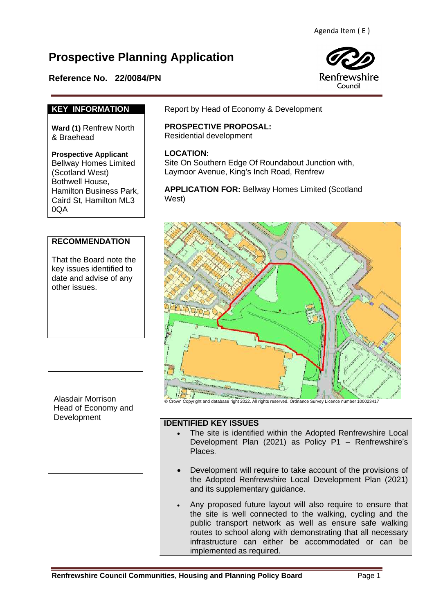# **Prospective Planning Application**

# **Reference No. 22/0084/PN**



## **KEY INFORMATION**

**Ward (1)** Renfrew North & Braehead

#### **Prospective Applicant**

Bellway Homes Limited (Scotland West) Bothwell House, Hamilton Business Park, Caird St, Hamilton ML3 0QA

## **RECOMMENDATION**

That the Board note the key issues identified to date and advise of any other issues.

Alasdair Morrison Head of Economy and Development

Report by Head of Economy & Development

# **PROSPECTIVE PROPOSAL:** Residential development

# **LOCATION:**

Site On Southern Edge Of Roundabout Junction with, Laymoor Avenue, King's Inch Road, Renfrew

**APPLICATION FOR:** Bellway Homes Limited (Scotland West)



### **IDENTIFIED KEY ISSUES**

- The site is identified within the Adopted Renfrewshire Local Development Plan (2021) as Policy P1 – Renfrewshire's Places.
- Development will require to take account of the provisions of the Adopted Renfrewshire Local Development Plan (2021) and its supplementary guidance.
- Any proposed future layout will also require to ensure that the site is well connected to the walking, cycling and the public transport network as well as ensure safe walking routes to school along with demonstrating that all necessary infrastructure can either be accommodated or can be implemented as required.